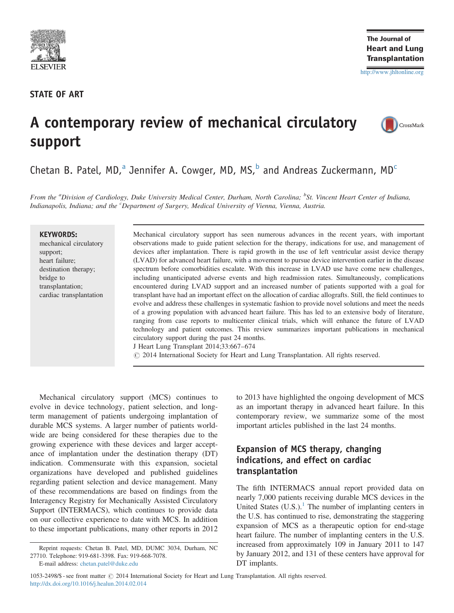

<http://www.jhltonline.org>

CrossMark

#### STATE OF ART

# A contemporary review of mechanical circulatory support

Chetan B. Patel, MD,<sup>a</sup> Jennifer A. Cowger, MD, MS, $<sup>b</sup>$  and Andreas Zuckermann, MD<sup>c</sup></sup>

From the <sup>a</sup>Division of Cardiology, Duke University Medical Center, Durham, North Carolina; <sup>b</sup>St. Vincent Heart Center of Indiana, Indianapolis, Indiana; and the <sup>c</sup>Department of Surgery, Medical University of Vienna, Vienna, Austria.

#### KEYWORDS:

mechanical circulatory support; heart failure; destination therapy; bridge to transplantation; cardiac transplantation

Mechanical circulatory support has seen numerous advances in the recent years, with important observations made to guide patient selection for the therapy, indications for use, and management of devices after implantation. There is rapid growth in the use of left ventricular assist device therapy (LVAD) for advanced heart failure, with a movement to pursue device intervention earlier in the disease spectrum before comorbidities escalate. With this increase in LVAD use have come new challenges, including unanticipated adverse events and high readmission rates. Simultaneously, complications encountered during LVAD support and an increased number of patients supported with a goal for transplant have had an important effect on the allocation of cardiac allografts. Still, the field continues to evolve and address these challenges in systematic fashion to provide novel solutions and meet the needs of a growing population with advanced heart failure. This has led to an extensive body of literature, ranging from case reports to multicenter clinical trials, which will enhance the future of LVAD technology and patient outcomes. This review summarizes important publications in mechanical circulatory support during the past 24 months.

J Heart Lung Transplant 2014;33:667–674

 $C$  2014 International Society for Heart and Lung Transplantation. All rights reserved.

Mechanical circulatory support (MCS) continues to evolve in device technology, patient selection, and longterm management of patients undergoing implantation of durable MCS systems. A larger number of patients worldwide are being considered for these therapies due to the growing experience with these devices and larger acceptance of implantation under the destination therapy (DT) indication. Commensurate with this expansion, societal organizations have developed and published guidelines regarding patient selection and device management. Many of these recommendations are based on findings from the Interagency Registry for Mechanically Assisted Circulatory Support (INTERMACS), which continues to provide data on our collective experience to date with MCS. In addition to these important publications, many other reports in 2012

E-mail address: [chetan.patel@duke.edu](mailto:chetan.patel@duke.edu)

to 2013 have highlighted the ongoing development of MCS as an important therapy in advanced heart failure. In this contemporary review, we summarize some of the most important articles published in the last 24 months.

## Expansion of MCS therapy, changing indications, and effect on cardiac transplantation

The fifth INTERMACS annual report provided data on nearly 7,000 patients receiving durable MCS devices in the United States  $(U.S.)$ <sup>[1](#page-5-0)</sup>. The number of implanting centers in the U.S. has continued to rise, demonstrating the staggering expansion of MCS as a therapeutic option for end-stage heart failure. The number of implanting centers in the U.S. increased from approximately 109 in January 2011 to 147 by January 2012, and 131 of these centers have approval for DT implants.

1053-2498/\$ - see front matter  $\odot$  2014 International Society for Heart and Lung Transplantation. All rights reserved. <http://dx.doi.org/10.1016/j.healun.2014.02.014>

Reprint requests: Chetan B. Patel, MD, DUMC 3034, Durham, NC 27710. Telephone: 919-681-3398. Fax: 919-668-7078.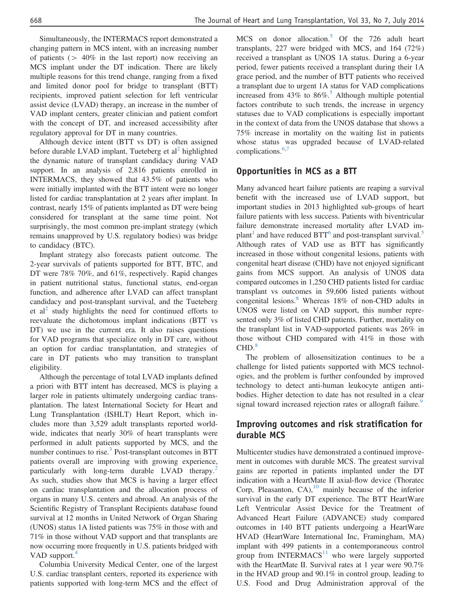Simultaneously, the INTERMACS report demonstrated a changing pattern in MCS intent, with an increasing number of patients ( $> 40\%$  in the last report) now receiving an MCS implant under the DT indication. There are likely multiple reasons for this trend change, ranging from a fixed and limited donor pool for bridge to transplant (BTT) recipients, improved patient selection for left ventricular assist device (LVAD) therapy, an increase in the number of VAD implant centers, greater clinician and patient comfort with the concept of DT, and increased accessibility after regulatory approval for DT in many countries.

Although device intent (BTT vs DT) is often assigned before durable LVAD implant, Tueteberg et  $al<sup>2</sup>$  $al<sup>2</sup>$  $al<sup>2</sup>$  highlighted the dynamic nature of transplant candidacy during VAD support. In an analysis of 2,816 patients enrolled in INTERMACS, they showed that 43.5% of patients who were initially implanted with the BTT intent were no longer listed for cardiac transplantation at 2 years after implant. In contrast, nearly 15% of patients implanted as DT were being considered for transplant at the same time point. Not surprisingly, the most common pre-implant strategy (which remains unapproved by U.S. regulatory bodies) was bridge to candidacy (BTC).

Implant strategy also forecasts patient outcome. The 2-year survivals of patients supported for BTT, BTC, and DT were 78% 70%, and 61%, respectively. Rapid changes in patient nutritional status, functional status, end-organ function, and adherence after LVAD can affect transplant candidacy and post-transplant survival, and the Tueteberg et  $al<sup>2</sup>$  $al<sup>2</sup>$  $al<sup>2</sup>$  study highlights the need for continued efforts to reevaluate the dichotomous implant indications (BTT vs DT) we use in the current era. It also raises questions for VAD programs that specialize only in DT care, without an option for cardiac transplantation, and strategies of care in DT patients who may transition to transplant eligibility.

Although the percentage of total LVAD implants defined a priori with BTT intent has decreased, MCS is playing a larger role in patients ultimately undergoing cardiac transplantation. The latest International Society for Heart and Lung Transplantation (ISHLT) Heart Report, which includes more than 3,529 adult transplants reported worldwide, indicates that nearly 30% of heart transplants were performed in adult patients supported by MCS, and the number continues to rise. $3$  Post-transplant outcomes in BTT patients overall are improving with growing experience, particularly with long-term durable LVAD therapy.<sup>[2](#page-5-0)</sup> As such, studies show that MCS is having a larger effect on cardiac transplantation and the allocation process of organs in many U.S. centers and abroad. An analysis of the Scientific Registry of Transplant Recipients database found survival at 12 months in United Network of Organ Sharing (UNOS) status 1A listed patients was 75% in those with and 71% in those without VAD support and that transplants are now occurring more frequently in U.S. patients bridged with VAD support.<sup>[4](#page-5-0)</sup>

Columbia University Medical Center, one of the largest U.S. cardiac transplant centers, reported its experience with patients supported with long-term MCS and the effect of MCS on donor allocation.<sup>[5](#page-5-0)</sup> Of the 726 adult heart transplants, 227 were bridged with MCS, and 164 (72%) received a transplant as UNOS 1A status. During a 6-year period, fewer patients received a transplant during their 1A grace period, and the number of BTT patients who received a transplant due to urgent 1A status for VAD complications increased from  $43\%$  to  $86\%$ .<sup>[5](#page-5-0)</sup> Although multiple potential factors contribute to such trends, the increase in urgency statuses due to VAD complications is especially important in the context of data from the UNOS database that shows a 75% increase in mortality on the waiting list in patients whose status was upgraded because of LVAD-related complications.<sup>[6,7](#page-5-0)</sup>

## Opportunities in MCS as a BTT

Many advanced heart failure patients are reaping a survival benefit with the increased use of LVAD support, but important studies in 2013 highlighted sub-groups of heart failure patients with less success. Patients with biventricular failure demonstrate increased mortality after LVAD im-plant<sup>[1](#page-5-0)</sup> and have reduced  $BTT<sup>6</sup>$  $BTT<sup>6</sup>$  $BTT<sup>6</sup>$  and post-transplant survival.<sup>[5](#page-5-0)</sup> Although rates of VAD use as BTT has significantly increased in those without congenital lesions, patients with congenital heart disease (CHD) have not enjoyed significant gains from MCS support. An analysis of UNOS data compared outcomes in 1,250 CHD patients listed for cardiac transplant vs outcomes in 59,606 listed patients without congenital lesions.[8](#page-5-0) Whereas 18% of non-CHD adults in UNOS were listed on VAD support, this number represented only 3% of listed CHD patients. Further, mortality on the transplant list in VAD-supported patients was 26% in those without CHD compared with 41% in those with  $CHD.<sup>8</sup>$  $CHD.<sup>8</sup>$  $CHD.<sup>8</sup>$ 

The problem of allosensitization continues to be a challenge for listed patients supported with MCS technologies, and the problem is further confounded by improved technology to detect anti-human leukocyte antigen antibodies. Higher detection to date has not resulted in a clear signal toward increased rejection rates or allograft failure.<sup>[9](#page-5-0)</sup>

## Improving outcomes and risk stratification for durable MCS

Multicenter studies have demonstrated a continued improvement in outcomes with durable MCS. The greatest survival gains are reported in patients implanted under the DT indication with a HeartMate II axial-flow device (Thoratec Corp, Pleasanton, CA), $^{10}$  $^{10}$  $^{10}$  mainly because of the inferior survival in the early DT experience. The BTT HeartWare Left Ventricular Assist Device for the Treatment of Advanced Heart Failure (ADVANCE) study compared outcomes in 140 BTT patients undergoing a HeartWare HVAD (HeartWare International Inc, Framingham, MA) implant with 499 patients in a contemporaneous control group from INTERMACS $^{11}$  $^{11}$  $^{11}$  who were largely supported with the HeartMate II. Survival rates at 1 year were 90.7% in the HVAD group and 90.1% in control group, leading to U.S. Food and Drug Administration approval of the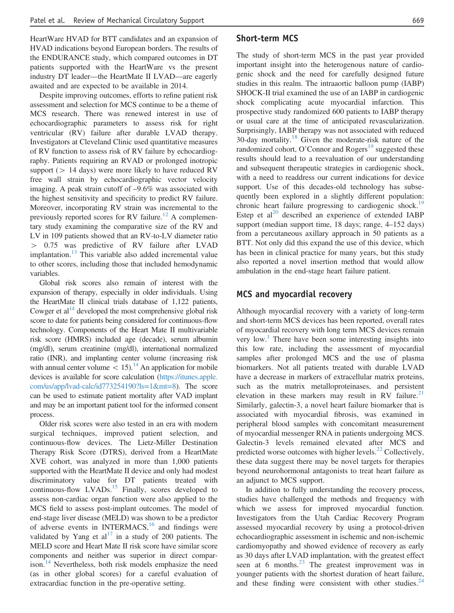HeartWare HVAD for BTT candidates and an expansion of HVAD indications beyond European borders. The results of the ENDURANCE study, which compared outcomes in DT patients supported with the HeartWare vs the present industry DT leader—the HeartMate II LVAD—are eagerly awaited and are expected to be available in 2014.

Despite improving outcomes, efforts to refine patient risk assessment and selection for MCS continue to be a theme of MCS research. There was renewed interest in use of echocardiographic parameters to assess risk for right ventricular (RV) failure after durable LVAD therapy. Investigators at Cleveland Clinic used quantitative measures of RV function to assess risk of RV failure by echocardiography. Patients requiring an RVAD or prolonged inotropic support ( $> 14$  days) were more likely to have reduced RV free wall strain by echocardiographic vector velocity imaging. A peak strain cutoff of –9.6% was associated with the highest sensitivity and specificity to predict RV failure. Moreover, incorporating RV strain was incremental to the previously reported scores for RV failure.<sup>[12](#page-6-0)</sup> A complementary study examining the comparative size of the RV and LV in 109 patients showed that an RV-to-LV diameter ratio 4 0.75 was predictive of RV failure after LVAD implantation.<sup>13</sup> This variable also added incremental value to other scores, including those that included hemodynamic variables.

Global risk scores also remain of interest with the expansion of therapy, especially in older individuals. Using the HeartMate II clinical trials database of 1,122 patients, Cowger et al<sup>14</sup> developed the most comprehensive global risk score to date for patients being considered for continuous-flow technology. Components of the Heart Mate II multivariable risk score (HMRS) included age (decade), serum albumin (mg/dl), serum creatinine (mg/dl), international normalized ratio (INR), and implanting center volume (increasing risk with annual center volume  $< 15$ ).<sup>[14](#page-6-0)</sup> An application for mobile devices is available for score calculation [\(https://itunes.apple.](https://itunes.apple.com/us/app/lvad-calc/id773254190?ls=1&mt=8) [com/us/app/lvad-calc/id773254190?ls](https://itunes.apple.com/us/app/lvad-calc/id773254190?ls=1&mt=8)=1&[mt](https://itunes.apple.com/us/app/lvad-calc/id773254190?ls=1&mt=8)=8). The score can be used to estimate patient mortality after VAD implant and may be an important patient tool for the informed consent process.

Older risk scores were also tested in an era with modern surgical techniques, improved patient selection, and continuous-flow devices. The Lietz-Miller Destination Therapy Risk Score (DTRS), derived from a HeartMate XVE cohort, was analyzed in more than 1,000 patients supported with the HeartMate II device and only had modest discriminatory value for DT patients treated with continuous-flow LVADs.<sup>[15](#page-6-0)</sup> Finally, scores developed to assess non-cardiac organ function were also applied to the MCS field to assess post-implant outcomes. The model of end-stage liver disease (MELD) was shown to be a predictor of adverse events in INTERMACS, $^{16}$  $^{16}$  $^{16}$  and findings were validated by Yang et  $al^{17}$  $al^{17}$  $al^{17}$  in a study of 200 patients. The MELD score and Heart Mate II risk score have similar score components and neither was superior in direct compar-ison.<sup>[14](#page-6-0)</sup> Nevertheless, both risk models emphasize the need (as in other global scores) for a careful evaluation of extracardiac function in the pre-operative setting.

## Short-term MCS

The study of short-term MCS in the past year provided important insight into the heterogenous nature of cardiogenic shock and the need for carefully designed future studies in this realm. The intraaortic balloon pump (IABP) SHOCK-II trial examined the use of an IABP in cardiogenic shock complicating acute myocardial infarction. This prospective study randomized 600 patients to IABP therapy or usual care at the time of anticipated revascularization. Surprisingly, IABP therapy was not associated with reduced 30-day mortality. $18$  Given the moderate-risk nature of the randomized cohort, O'Connor and Rogers<sup>[19](#page-6-0)</sup> suggested these results should lead to a reevaluation of our understanding and subsequent therapeutic strategies in cardiogenic shock, with a need to readdress our current indications for device support. Use of this decades-old technology has subsequently been explored in a slightly different population: chronic heart failure progressing to cardiogenic shock.<sup>19</sup> Estep et al<sup>[20](#page-6-0)</sup> described an experience of extended IABP support (median support time, 18 days; range, 4–152 days) from a percutaneous axillary approach in 50 patients as a BTT. Not only did this expand the use of this device, which has been in clinical practice for many years, but this study also reported a novel insertion method that would allow ambulation in the end-stage heart failure patient.

#### MCS and myocardial recovery

Although myocardial recovery with a variety of long-term and short-term MCS devices has been reported, overall rates of myocardial recovery with long term MCS devices remain very low.<sup>[1](#page-5-0)</sup> There have been some interesting insights into this low rate, including the assessment of myocardial samples after prolonged MCS and the use of plasma biomarkers. Not all patients treated with durable LVAD have a decrease in markers of extracellular matrix proteins, such as the matrix metalloproteinases, and persistent elevation in these markers may result in RV failure.<sup>[21](#page-6-0)</sup> Similarly, galectin-3, a novel heart failure biomarker that is associated with myocardial fibrosis, was examined in peripheral blood samples with concomitant measurement of myocardial messenger RNA in patients undergoing MCS. Galectin-3 levels remained elevated after MCS and predicted worse outcomes with higher levels. $^{22}$  $^{22}$  $^{22}$  Collectively, these data suggest there may be novel targets for therapies beyond neurohormonal antagonists to treat heart failure as an adjunct to MCS support.

In addition to fully understanding the recovery process, studies have challenged the methods and frequency with which we assess for improved myocardial function. Investigators from the Utah Cardiac Recovery Program assessed myocardial recovery by using a protocol-driven echocardiographic assessment in ischemic and non-ischemic cardiomyopathy and showed evidence of recovery as early as 30 days after LVAD implantation, with the greatest effect seen at 6 months. $^{23}$  $^{23}$  $^{23}$  The greatest improvement was in younger patients with the shortest duration of heart failure, and these finding were consistent with other studies. $24$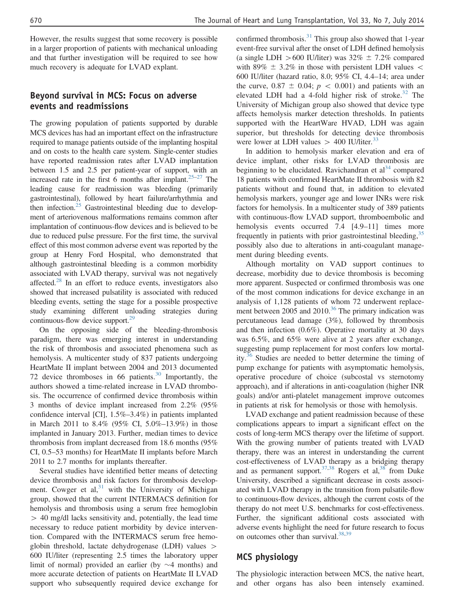However, the results suggest that some recovery is possible in a larger proportion of patients with mechanical unloading and that further investigation will be required to see how much recovery is adequate for LVAD explant.

## Beyond survival in MCS: Focus on adverse events and readmissions

The growing population of patients supported by durable MCS devices has had an important effect on the infrastructure required to manage patients outside of the implanting hospital and on costs to the health care system. Single-center studies have reported readmission rates after LVAD implantation between 1.5 and 2.5 per patient-year of support, with an increased rate in the first 6 months after implant. $25-27$  $25-27$  $25-27$  The leading cause for readmission was bleeding (primarily gastrointestinal), followed by heart failure/arrhythmia and then infection. $25$  Gastrointestinal bleeding due to development of arteriovenous malformations remains common after implantation of continuous-flow devices and is believed to be due to reduced pulse pressure. For the first time, the survival effect of this most common adverse event was reported by the group at Henry Ford Hospital, who demonstrated that although gastrointestinal bleeding is a common morbidity associated with LVAD therapy, survival was not negatively affected.<sup>[28](#page-6-0)</sup> In an effort to reduce events, investigators also showed that increased pulsatility is associated with reduced bleeding events, setting the stage for a possible prospective study examining different unloading strategies during continuous-flow device support.<sup>29</sup>

On the opposing side of the bleeding-thrombosis paradigm, there was emerging interest in understanding the risk of thrombosis and associated phenomena such as hemolysis. A multicenter study of 837 patients undergoing HeartMate II implant between 2004 and 2013 documented 72 device thromboses in 66 patients. $30$  Importantly, the authors showed a time-related increase in LVAD thrombosis. The occurrence of confirmed device thrombosis within 3 months of device implant increased from 2.2% (95% confidence interval [CI], 1.5%–3.4%) in patients implanted in March 2011 to 8.4% (95% CI, 5.0%–13.9%) in those implanted in January 2013. Further, median times to device thrombosis from implant decreased from 18.6 months (95% CI, 0.5–53 months) for HeartMate II implants before March 2011 to 2.7 months for implants thereafter.

Several studies have identified better means of detecting device thrombosis and risk factors for thrombosis development. Cowger et al, $31$  with the University of Michigan group, showed that the current INTERMACS definition for hemolysis and thrombosis using a serum free hemoglobin  $>$  40 mg/dl lacks sensitivity and, potentially, the lead time necessary to reduce patient morbidity by device intervention. Compared with the INTERMACS serum free hemoglobin threshold, lactate dehydrogenase (LDH) values 4 600 IU/liter (representing 2.5 times the laboratory upper limit of normal) provided an earlier (by  $\sim$ 4 months) and more accurate detection of patients on HeartMate II LVAD support who subsequently required device exchange for confirmed thrombosis. $31$  This group also showed that 1-year event-free survival after the onset of LDH defined hemolysis (a single LDH  $>600$  IU/liter) was 32%  $\pm$  7.2% compared with 89%  $\pm$  3.2% in those with persistent LDH values  $\lt$ 600 IU/liter (hazard ratio, 8.0; 95% CI, 4.4–14; area under the curve,  $0.87 \pm 0.04$ ;  $p < 0.001$ ) and patients with an elevated LDH had a 4-fold higher risk of stroke. $32$  The University of Michigan group also showed that device type affects hemolysis marker detection thresholds. In patients supported with the HeartWare HVAD, LDH was again superior, but thresholds for detecting device thrombosis were lower at LDH values  $> 400$  IU/liter.<sup>[33](#page-6-0)</sup>

In addition to hemolysis marker elevation and era of device implant, other risks for LVAD thrombosis are beginning to be elucidated. Ravichandran et  $al<sup>34</sup>$  $al<sup>34</sup>$  $al<sup>34</sup>$  compared 18 patients with confirmed HeartMate II thrombosis with 82 patients without and found that, in addition to elevated hemolysis markers, younger age and lower INRs were risk factors for hemolysis. In a multicenter study of 389 patients with continuous-flow LVAD support, thromboembolic and hemolysis events occurred 7.4 [4.9–11] times more frequently in patients with prior gastrointestinal bleeding,<sup>35</sup> possibly also due to alterations in anti-coagulant management during bleeding events.

Although mortality on VAD support continues to decrease, morbidity due to device thrombosis is becoming more apparent. Suspected or confirmed thrombosis was one of the most common indications for device exchange in an analysis of 1,128 patients of whom 72 underwent replacement between  $2005$  and  $2010<sup>36</sup>$  $2010<sup>36</sup>$  $2010<sup>36</sup>$  The primary indication was percutaneous lead damage (3%), followed by thrombosis and then infection (0.6%). Operative mortality at 30 days was 6.5%, and 65% were alive at 2 years after exchange, suggesting pump replacement for most confers low mortality.[36](#page-6-0) Studies are needed to better determine the timing of pump exchange for patients with asymptomatic hemolysis, operative procedure of choice (subcostal vs sternotomy approach), and if alterations in anti-coagulation (higher INR goals) and/or anti-platelet management improve outcomes in patients at risk for hemolysis or those with hemolysis.

LVAD exchange and patient readmission because of these complications appears to impart a significant effect on the costs of long-term MCS therapy over the lifetime of support. With the growing number of patients treated with LVAD therapy, there was an interest in understanding the current cost-effectiveness of LVAD therapy as a bridging therapy and as permanent support.<sup>37,[38](#page-6-0)</sup> Rogers et al,<sup>38</sup> from Duke University, described a significant decrease in costs associated with LVAD therapy in the transition from pulsatile-flow to continuous-flow devices, although the current costs of the therapy do not meet U.S. benchmarks for cost-effectiveness. Further, the significant additional costs associated with adverse events highlight the need for future research to focus on outcomes other than survival. $38,39$ 

## MCS physiology

The physiologic interaction between MCS, the native heart, and other organs has also been intensely examined.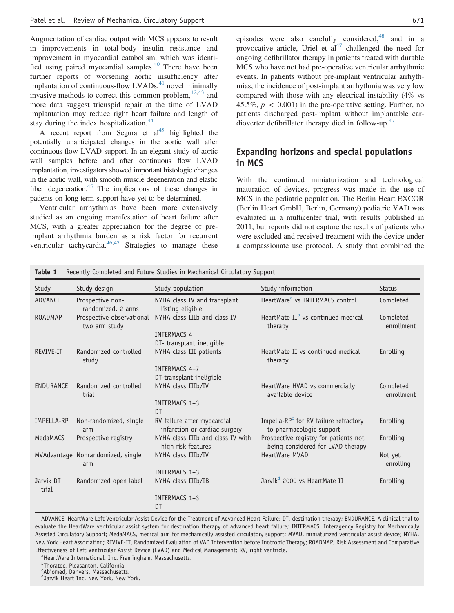<span id="page-4-0"></span>Augmentation of cardiac output with MCS appears to result in improvements in total-body insulin resistance and improvement in myocardial catabolism, which was identi-fied using paired myocardial samples.<sup>[40](#page-6-0)</sup> There have been further reports of worsening aortic insufficiency after implantation of continuous-flow LVADs, $41$  novel minimally invasive methods to correct this common problem,  $42,43$  and more data suggest tricuspid repair at the time of LVAD implantation may reduce right heart failure and length of stay during the index hospitalization.<sup>[44](#page-6-0)</sup>

A recent report from Segura et  $al<sup>45</sup>$  highlighted the potentially unanticipated changes in the aortic wall after continuous-flow LVAD support. In an elegant study of aortic wall samples before and after continuous flow LVAD implantation, investigators showed important histologic changes in the aortic wall, with smooth muscle degeneration and elastic fiber degeneration. $45$  The implications of these changes in patients on long-term support have yet to be determined.

Ventricular arrhythmias have been more extensively studied as an ongoing manifestation of heart failure after MCS, with a greater appreciation for the degree of preimplant arrhythmia burden as a risk factor for recurrent ventricular tachycardia. $46,47$  Strategies to manage these episodes were also carefully considered, $48$  and in a provocative article, Uriel et  $al<sup>47</sup>$  $al<sup>47</sup>$  $al<sup>47</sup>$  challenged the need for ongoing defibrillator therapy in patients treated with durable MCS who have not had pre-operative ventricular arrhythmic events. In patients without pre-implant ventricular arrhythmias, the incidence of post-implant arrhythmia was very low compared with those with any electrical instability (4% vs 45.5%,  $p < 0.001$ ) in the pre-operative setting. Further, no patients discharged post-implant without implantable car-dioverter defibrillator therapy died in follow-up.<sup>[47](#page-6-0)</sup>

## Expanding horizons and special populations in MCS

With the continued miniaturization and technological maturation of devices, progress was made in the use of MCS in the pediatric population. The Berlin Heart EXCOR (Berlin Heart GmbH, Berlin, Germany) pediatric VAD was evaluated in a multicenter trial, with results published in 2011, but reports did not capture the results of patients who were excluded and received treatment with the device under a compassionate use protocol. A study that combined the

| Study              | Study design                               | Study population                                                                | Study information                                                          | <b>Status</b>           |
|--------------------|--------------------------------------------|---------------------------------------------------------------------------------|----------------------------------------------------------------------------|-------------------------|
| ADVANCE            | Prospective non-<br>randomized, 2 arms     | NYHA class IV and transplant<br>listing eligible                                | HeartWare <sup>a</sup> vs INTERMACS control                                | Completed               |
| <b>ROADMAP</b>     | Prospective observational<br>two arm study | NYHA class IIIb and class IV<br><b>INTERMACS 4</b><br>DT- transplant ineligible | HeartMate II <sup>b</sup> vs continued medical<br>therapy                  | Completed<br>enrollment |
| REVIVE-IT          | Randomized controlled<br>study             | NYHA class III patients<br><b>INTERMACS 4-7</b><br>DT-transplant ineligible     | HeartMate II vs continued medical<br>therapy                               | Enrolling               |
| ENDURANCE          | Randomized controlled<br>trial             | NYHA class IIIb/IV<br>INTERMACS 1-3<br>DT                                       | HeartWare HVAD vs commercially<br>available device                         | Completed<br>enrollment |
| <b>IMPELLA-RP</b>  | Non-randomized, single<br>arm              | RV failure after myocardial<br>infarction or cardiac surgery                    | Impella-RP $c$ for RV failure refractory<br>to pharmacologic support       | Enrolling               |
| MedaMACS           | Prospective registry                       | NYHA class IIIb and class IV with<br>high risk features                         | Prospective registry for patients not<br>being considered for LVAD therapy | Enrolling               |
|                    | MVAdvantage Nonrandomized, single<br>arm   | NYHA class IIIb/IV<br>INTERMACS 1-3                                             | HeartWare MVAD                                                             | Not yet<br>enrolling    |
| Jarvik DT<br>trial | Randomized open label                      | NYHA class IIIb/IB                                                              | Jarvik <sup>d</sup> 2000 vs HeartMate II                                   | Enrolling               |
|                    |                                            | INTERMACS 1-3<br>DT                                                             |                                                                            |                         |

ADVANCE, HeartWare Left Ventricular Assist Device for the Treatment of Advanced Heart Failure; DT, destination therapy; ENDURANCE, A clinical trial to evaluate the HeartWare ventricular assist system for destination therapy of advanced heart failure; INTERMACS, Interagency Registry for Mechanically Assisted Circulatory Support; MedaMACS, medical arm for mechanically assisted circulatory support; MVAD, miniaturized ventricular assist device; NYHA, New York Heart Association; REVIVE-IT, Randomized Evaluation of VAD Intervention before Inotropic Therapy; ROADMAP, Risk Assessment and Comparative Effectiveness of Left Ventricular Assist Device (LVAD) and Medical Management; RV, right ventricle. <sup>a</sup>

aHeartWare International, Inc. Framingham, Massachusetts.

b Thoratec, Pleasanton, California.

c Abiomed, Danvers, Massachusetts.

dJarvik Heart Inc, New York, New York.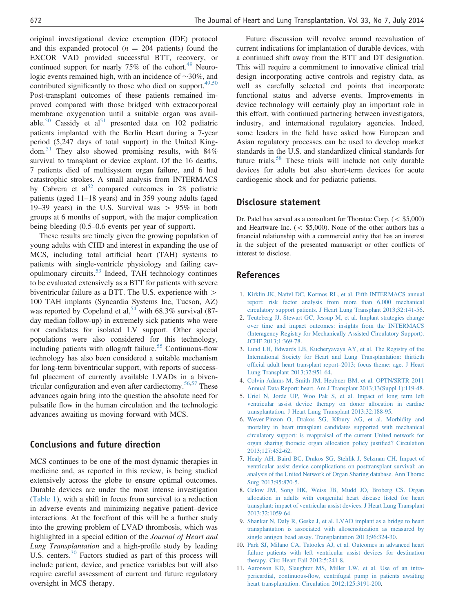<span id="page-5-0"></span>original investigational device exemption (IDE) protocol and this expanded protocol ( $n = 204$  patients) found the EXCOR VAD provided successful BTT, recovery, or continued support for nearly  $75\%$  of the cohort.<sup>[49](#page-6-0)</sup> Neurologic events remained high, with an incidence of  $\sim$ 30%, and contributed significantly to those who died on support. $49,50$ Post-transplant outcomes of these patients remained improved compared with those bridged with extracorporeal membrane oxygenation until a suitable organ was avail-able.<sup>[50](#page-6-0)</sup> Cassidy et al<sup>[51](#page-6-0)</sup> presented data on 102 pediatric patients implanted with the Berlin Heart during a 7-year period (5,247 days of total support) in the United King-dom.<sup>[51](#page-6-0)</sup> They also showed promising results, with  $84\%$ survival to transplant or device explant. Of the 16 deaths, 7 patients died of multisystem organ failure, and 6 had catastrophic strokes. A small analysis from INTERMACS by Cabrera et  $al<sup>52</sup>$  $al<sup>52</sup>$  $al<sup>52</sup>$  compared outcomes in 28 pediatric patients (aged 11–18 years) and in 359 young adults (aged 19–39 years) in the U.S. Survival was  $> 95\%$  in both groups at 6 months of support, with the major complication being bleeding (0.5–0.6 events per year of support).

These results are timely given the growing population of young adults with CHD and interest in expanding the use of MCS, including total artificial heart (TAH) systems to patients with single-ventricle physiology and failing cavopulmonary circuits.[53](#page-7-0) Indeed, TAH technology continues to be evaluated extensively as a BTT for patients with severe biventricular failure as a BTT. The U.S. experience with  $>$ 100 TAH implants (Syncardia Systems Inc, Tucson, AZ) was reported by Copeland et al,<sup>[54](#page-7-0)</sup> with 68.3% survival (87day median follow-up) in extremely sick patients who were not candidates for isolated LV support. Other special populations were also considered for this technology, including patients with allograft failure.<sup>[55](#page-7-0)</sup> Continuous-flow technology has also been considered a suitable mechanism for long-term biventricular support, with reports of successful placement of currently available LVADs in a biventricular configuration and even after cardiectomy.<sup>56,57</sup> These advances again bring into the question the absolute need for pulsatile flow in the human circulation and the technologic advances awaiting us moving forward with MCS.

## Conclusions and future direction

MCS continues to be one of the most dynamic therapies in medicine and, as reported in this review, is being studied extensively across the globe to ensure optimal outcomes. Durable devices are under the most intense investigation ([Table 1](#page-4-0)), with a shift in focus from survival to a reduction in adverse events and minimizing negative patient–device interactions. At the forefront of this will be a further study into the growing problem of LVAD thrombosis, which was highlighted in a special edition of the Journal of Heart and Lung Transplantation and a high-profile study by leading U.S. centers.<sup>[30](#page-6-0)</sup> Factors studied as part of this process will include patient, device, and practice variables but will also require careful assessment of current and future regulatory oversight in MCS therapy.

Future discussion will revolve around reevaluation of current indications for implantation of durable devices, with a continued shift away from the BTT and DT designation. This will require a commitment to innovative clinical trial design incorporating active controls and registry data, as well as carefully selected end points that incorporate functional status and adverse events. Improvements in device technology will certainly play an important role in this effort, with continued partnering between investigators, industry, and international regulatory agencies. Indeed, some leaders in the field have asked how European and Asian regulatory processes can be used to develop market standards in the U.S. and standardized clinical standards for future trials.<sup>[58](#page-7-0)</sup> These trials will include not only durable devices for adults but also short-term devices for acute cardiogenic shock and for pediatric patients.

#### Disclosure statement

Dr. Patel has served as a consultant for Thoratec Corp.  $(<$  \$5,000) and Heartware Inc.  $(<$  \$5,000). None of the other authors has a financial relationship with a commercial entity that has an interest in the subject of the presented manuscript or other conflicts of interest to disclose.

## References

- 1. [Kirklin JK, Naftel DC, Kormos RL, et al. Fifth INTERMACS annual](http://refhub.elsevier.com/S1053-2498(14)00976-0/sbref1) [report: risk factor analysis from more than 6,000 mechanical](http://refhub.elsevier.com/S1053-2498(14)00976-0/sbref1) [circulatory support patients. J Heart Lung Transplant 2013;32:141-56.](http://refhub.elsevier.com/S1053-2498(14)00976-0/sbref1)
- 2. [Teuteberg JJ, Stewart GC, Jessup M, et al. Implant strategies change](http://refhub.elsevier.com/S1053-2498(14)00976-0/sbref2) [over time and impact outcomes: insights from the INTERMACS](http://refhub.elsevier.com/S1053-2498(14)00976-0/sbref2) [\(Interagency Registry for Mechanically Assisted Circulatory Support\).](http://refhub.elsevier.com/S1053-2498(14)00976-0/sbref2) [JCHF 2013;1:369-78.](http://refhub.elsevier.com/S1053-2498(14)00976-0/sbref2)
- 3. [Lund LH, Edwards LB, Kucheryavaya AY, et al. The Registry of the](http://refhub.elsevier.com/S1053-2498(14)00976-0/sbref3) [International Society for Heart and Lung Transplantation: thirtieth](http://refhub.elsevier.com/S1053-2498(14)00976-0/sbref3) official adult heart transplant report–[2013; focus theme: age. J Heart](http://refhub.elsevier.com/S1053-2498(14)00976-0/sbref3) [Lung Transplant 2013;32:951-64.](http://refhub.elsevier.com/S1053-2498(14)00976-0/sbref3)
- 4. [Colvin-Adams M, Smith JM, Heubner BM, et al. OPTN/SRTR 2011](http://refhub.elsevier.com/S1053-2498(14)00976-0/sbref4) [Annual Data Report: heart. Am J Transplant 2013;13\(Suppl 1\):119-48.](http://refhub.elsevier.com/S1053-2498(14)00976-0/sbref4)
- 5. [Uriel N, Jorde UP, Woo Pak S, et al. Impact of long term left](http://refhub.elsevier.com/S1053-2498(14)00976-0/sbref5) [ventricular assist device therapy on donor allocation in cardiac](http://refhub.elsevier.com/S1053-2498(14)00976-0/sbref5) [transplantation. J Heart Lung Transplant 2013;32:188-95.](http://refhub.elsevier.com/S1053-2498(14)00976-0/sbref5)
- 6. [Wever-Pinzon O, Drakos SG, Kfoury AG, et al. Morbidity and](http://refhub.elsevier.com/S1053-2498(14)00976-0/sbref6) [mortality in heart transplant candidates supported with mechanical](http://refhub.elsevier.com/S1053-2498(14)00976-0/sbref6) [circulatory support: is reappraisal of the current United network for](http://refhub.elsevier.com/S1053-2498(14)00976-0/sbref6) [organ sharing thoracic organ allocation policy justi](http://refhub.elsevier.com/S1053-2498(14)00976-0/sbref6)fied? Circulation [2013;127:452-62.](http://refhub.elsevier.com/S1053-2498(14)00976-0/sbref6)
- 7. [Healy AH, Baird BC, Drakos SG, Stehlik J, Selzman CH. Impact of](http://refhub.elsevier.com/S1053-2498(14)00976-0/sbref7) [ventricular assist device complications on posttransplant survival: an](http://refhub.elsevier.com/S1053-2498(14)00976-0/sbref7) [analysis of the United Network of Organ Sharing database. Ann Thorac](http://refhub.elsevier.com/S1053-2498(14)00976-0/sbref7) [Surg 2013;95:870-5.](http://refhub.elsevier.com/S1053-2498(14)00976-0/sbref7)
- 8. [Gelow JM, Song HK, Weiss JB, Mudd JO, Broberg CS. Organ](http://refhub.elsevier.com/S1053-2498(14)00976-0/sbref8) [allocation in adults with congenital heart disease listed for heart](http://refhub.elsevier.com/S1053-2498(14)00976-0/sbref8) [transplant: impact of ventricular assist devices. J Heart Lung Transplant](http://refhub.elsevier.com/S1053-2498(14)00976-0/sbref8) [2013;32:1059-64.](http://refhub.elsevier.com/S1053-2498(14)00976-0/sbref8)
- 9. [Shankar N, Daly R, Geske J, et al. LVAD implant as a bridge to heart](http://refhub.elsevier.com/S1053-2498(14)00976-0/sbref9) [transplantation is associated with allosensitization as measured by](http://refhub.elsevier.com/S1053-2498(14)00976-0/sbref9) [single antigen bead assay. Transplantation 2013;96:324-30.](http://refhub.elsevier.com/S1053-2498(14)00976-0/sbref9)
- 10. [Park SJ, Milano CA, Tatooles AJ, et al. Outcomes in advanced heart](http://refhub.elsevier.com/S1053-2498(14)00976-0/sbref10) [failure patients with left ventricular assist devices for destination](http://refhub.elsevier.com/S1053-2498(14)00976-0/sbref10) [therapy. Circ Heart Fail 2012;5:241-8.](http://refhub.elsevier.com/S1053-2498(14)00976-0/sbref10)
- 11. [Aaronson KD, Slaughter MS, Miller LW, et al. Use of an intra](http://refhub.elsevier.com/S1053-2498(14)00976-0/sbref11)pericardial, continuous-fl[ow, centrifugal pump in patients awaiting](http://refhub.elsevier.com/S1053-2498(14)00976-0/sbref11) [heart transplantation. Circulation 2012;125:3191-200.](http://refhub.elsevier.com/S1053-2498(14)00976-0/sbref11)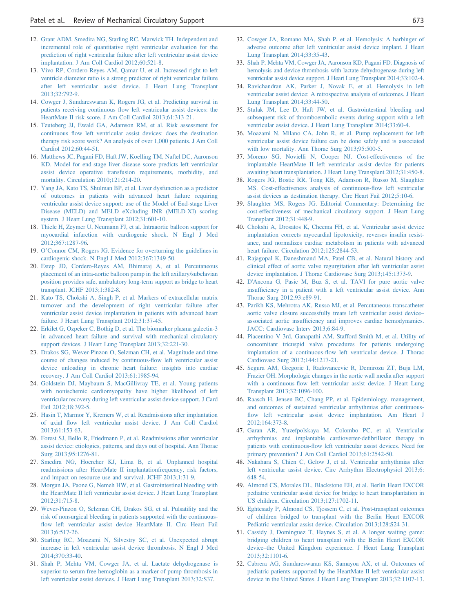- <span id="page-6-0"></span>12. [Grant ADM, Smedira NG, Starling RC, Marwick TH. Independent and](http://refhub.elsevier.com/S1053-2498(14)00976-0/sbref12) [incremental role of quantitative right ventricular evaluation for the](http://refhub.elsevier.com/S1053-2498(14)00976-0/sbref12) [prediction of right ventricular failure after left ventricular assist device](http://refhub.elsevier.com/S1053-2498(14)00976-0/sbref12) [implantation. J Am Coll Cardiol 2012;60:521-8.](http://refhub.elsevier.com/S1053-2498(14)00976-0/sbref12)
- 13. [Vivo RP, Cordero-Reyes AM, Qamar U, et al. Increased right-to-left](http://refhub.elsevier.com/S1053-2498(14)00976-0/sbref13) [ventricle diameter ratio is a strong predictor of right ventricular failure](http://refhub.elsevier.com/S1053-2498(14)00976-0/sbref13) [after left ventricular assist device. J Heart Lung Transplant](http://refhub.elsevier.com/S1053-2498(14)00976-0/sbref13) [2013;32:792-9.](http://refhub.elsevier.com/S1053-2498(14)00976-0/sbref13)
- 14. [Cowger J, Sundareswaran K, Rogers JG, et al. Predicting survival in](http://refhub.elsevier.com/S1053-2498(14)00976-0/sbref14) patients receiving continuous fl[ow left ventricular assist devices: the](http://refhub.elsevier.com/S1053-2498(14)00976-0/sbref14) [HeartMate II risk score. J Am Coll Cardiol 2013;61:313-21.](http://refhub.elsevier.com/S1053-2498(14)00976-0/sbref14)
- 15. [Teuteberg JJ, Ewald GA, Adamson RM, et al. Risk assessment for](http://refhub.elsevier.com/S1053-2498(14)00976-0/sbref15) continuous fl[ow left ventricular assist devices: does the destination](http://refhub.elsevier.com/S1053-2498(14)00976-0/sbref15) [therapy risk score work? An analysis of over 1,000 patients. J Am Coll](http://refhub.elsevier.com/S1053-2498(14)00976-0/sbref15) [Cardiol 2012;60:44-51.](http://refhub.elsevier.com/S1053-2498(14)00976-0/sbref15)
- 16. [Matthews JC, Pagani FD, Haft JW, Koelling TM, Naftel DC, Aaronson](http://refhub.elsevier.com/S1053-2498(14)00976-0/sbref16) [KD. Model for end-stage liver disease score predicts left ventricular](http://refhub.elsevier.com/S1053-2498(14)00976-0/sbref16) [assist device operative transfusion requirements, morbidity, and](http://refhub.elsevier.com/S1053-2498(14)00976-0/sbref16) [mortality. Circulation 2010;121:214-20.](http://refhub.elsevier.com/S1053-2498(14)00976-0/sbref16)
- 17. [Yang JA, Kato TS, Shulman BP, et al. Liver dysfunction as a predictor](http://refhub.elsevier.com/S1053-2498(14)00976-0/sbref17) [of outcomes in patients with advanced heart failure requiring](http://refhub.elsevier.com/S1053-2498(14)00976-0/sbref17) [ventricular assist device support: use of the Model of End-stage Liver](http://refhub.elsevier.com/S1053-2498(14)00976-0/sbref17) [Disease \(MELD\) and MELD eXcluding INR \(MELD-XI\) scoring](http://refhub.elsevier.com/S1053-2498(14)00976-0/sbref17) [system. J Heart Lung Transplant 2012;31:601-10.](http://refhub.elsevier.com/S1053-2498(14)00976-0/sbref17)
- 18. [Thiele H, Zeymer U, Neumann FJ, et al. Intraaortic balloon support for](http://refhub.elsevier.com/S1053-2498(14)00976-0/sbref18) [myocardial infarction with cardiogenic shock. N Engl J Med](http://refhub.elsevier.com/S1053-2498(14)00976-0/sbref18) [2012;367:1287-96.](http://refhub.elsevier.com/S1053-2498(14)00976-0/sbref18)
- 19. O'[Connor CM, Rogers JG. Evidence for overturning the guidelines in](http://refhub.elsevier.com/S1053-2498(14)00976-0/sbref19) [cardiogenic shock. N Engl J Med 2012;367:1349-50.](http://refhub.elsevier.com/S1053-2498(14)00976-0/sbref19)
- 20. [Estep JD, Cordero-Reyes AM, Bhimaraj A, et al. Percutaneous](http://refhub.elsevier.com/S1053-2498(14)00976-0/sbref20) [placement of an intra-aortic balloon pump in the left axillary/subclavian](http://refhub.elsevier.com/S1053-2498(14)00976-0/sbref20) [position provides safe, ambulatory long-term support as bridge to heart](http://refhub.elsevier.com/S1053-2498(14)00976-0/sbref20) [transplant. JCHF 2013;1:382-8.](http://refhub.elsevier.com/S1053-2498(14)00976-0/sbref20)
- 21. [Kato TS, Chokshi A, Singh P, et al. Markers of extracellular matrix](http://refhub.elsevier.com/S1053-2498(14)00976-0/sbref21) [turnover and the development of right ventricular failure after](http://refhub.elsevier.com/S1053-2498(14)00976-0/sbref21) [ventricular assist device implantation in patients with advanced heart](http://refhub.elsevier.com/S1053-2498(14)00976-0/sbref21) [failure. J Heart Lung Transplant 2012;31:37-45.](http://refhub.elsevier.com/S1053-2498(14)00976-0/sbref21)
- 22. [Erkilet G, Ozpeker C, Bothig D, et al. The biomarker plasma galectin-3](http://refhub.elsevier.com/S1053-2498(14)00976-0/sbref22) [in advanced heart failure and survival with mechanical circulatory](http://refhub.elsevier.com/S1053-2498(14)00976-0/sbref22) [support devices. J Heart Lung Transplant 2013;32:221-30.](http://refhub.elsevier.com/S1053-2498(14)00976-0/sbref22)
- 23. [Drakos SG, Wever-Pinzon O, Selzman CH, et al. Magnitude and time](http://refhub.elsevier.com/S1053-2498(14)00976-0/sbref23) [course of changes induced by continuous-](http://refhub.elsevier.com/S1053-2498(14)00976-0/sbref23)flow left ventricular assist [device unloading in chronic heart failure: insights into cardiac](http://refhub.elsevier.com/S1053-2498(14)00976-0/sbref23) [recovery. J Am Coll Cardiol 2013;61:1985-94.](http://refhub.elsevier.com/S1053-2498(14)00976-0/sbref23)
- 24. [Goldstein DJ, Maybaum S, MacGillivray TE, et al. Young patients](http://refhub.elsevier.com/S1053-2498(14)00976-0/sbref24) [with nonischemic cardiomyopathy have higher likelihood of left](http://refhub.elsevier.com/S1053-2498(14)00976-0/sbref24) [ventricular recovery during left ventricular assist device support. J Card](http://refhub.elsevier.com/S1053-2498(14)00976-0/sbref24) [Fail 2012;18:392-5.](http://refhub.elsevier.com/S1053-2498(14)00976-0/sbref24)
- 25. [Hasin T, Marmor Y, Kremers W, et al. Readmissions after implantation](http://refhub.elsevier.com/S1053-2498(14)00976-0/sbref25) of axial fl[ow left ventricular assist device. J Am Coll Cardiol](http://refhub.elsevier.com/S1053-2498(14)00976-0/sbref25) [2013;61:153-63.](http://refhub.elsevier.com/S1053-2498(14)00976-0/sbref25)
- 26. [Forest SJ, Bello R, Friedmann P, et al. Readmissions after ventricular](http://refhub.elsevier.com/S1053-2498(14)00976-0/sbref26) [assist device: etiologies, patterns, and days out of hospital. Ann Thorac](http://refhub.elsevier.com/S1053-2498(14)00976-0/sbref26) [Surg 2013;95:1276-81.](http://refhub.elsevier.com/S1053-2498(14)00976-0/sbref26)
- 27. [Smedira NG, Hoercher KJ, Lima B, et al. Unplanned hospital](http://refhub.elsevier.com/S1053-2498(14)00976-0/sbref27) [readmissions after HeartMate II implantationfrequency, risk factors,](http://refhub.elsevier.com/S1053-2498(14)00976-0/sbref27) [and impact on resource use and survival. JCHF 2013;1:31-9.](http://refhub.elsevier.com/S1053-2498(14)00976-0/sbref27)
- 28. [Morgan JA, Paone G, Nemeh HW, et al. Gastrointestinal bleeding with](http://refhub.elsevier.com/S1053-2498(14)00976-0/sbref28) [the HeartMate II left ventricular assist device. J Heart Lung Transplant](http://refhub.elsevier.com/S1053-2498(14)00976-0/sbref28) [2012;31:715-8.](http://refhub.elsevier.com/S1053-2498(14)00976-0/sbref28)
- 29. [Wever-Pinzon O, Selzman CH, Drakos SG, et al. Pulsatility and the](http://refhub.elsevier.com/S1053-2498(14)00976-0/sbref29) [risk of nonsurgical bleeding in patients supported with the continuous](http://refhub.elsevier.com/S1053-2498(14)00976-0/sbref29)fl[ow left ventricular assist device HeartMate II. Circ Heart Fail](http://refhub.elsevier.com/S1053-2498(14)00976-0/sbref29) [2013;6:517-26.](http://refhub.elsevier.com/S1053-2498(14)00976-0/sbref29)
- 30. [Starling RC, Moazami N, Silvestry SC, et al. Unexpected abrupt](http://refhub.elsevier.com/S1053-2498(14)00976-0/sbref30) [increase in left ventricular assist device thrombosis. N Engl J Med](http://refhub.elsevier.com/S1053-2498(14)00976-0/sbref30) [2014;370:33-40.](http://refhub.elsevier.com/S1053-2498(14)00976-0/sbref30)
- 31. [Shah P, Mehta VM, Cowger JA, et al. Lactate dehydrogenase is](http://refhub.elsevier.com/S1053-2498(14)00976-0/sbref31) [superior to serum free hemoglobin as a marker of pump thrombosis in](http://refhub.elsevier.com/S1053-2498(14)00976-0/sbref31) [left ventricular assist devices. J Heart Lung Transplant 2013;32:S37.](http://refhub.elsevier.com/S1053-2498(14)00976-0/sbref31)
- 32. [Cowger JA, Romano MA, Shah P, et al. Hemolysis: A harbinger of](http://refhub.elsevier.com/S1053-2498(14)00976-0/sbref32) [adverse outcome after left ventricular assist device implant. J Heart](http://refhub.elsevier.com/S1053-2498(14)00976-0/sbref32) [Lung Transplant 2014;33:35-43.](http://refhub.elsevier.com/S1053-2498(14)00976-0/sbref32)
- 33. [Shah P, Mehta VM, Cowger JA, Aaronson KD, Pagani FD. Diagnosis of](http://refhub.elsevier.com/S1053-2498(14)00976-0/sbref33) [hemolysis and device thrombosis with lactate dehydrogenase during left](http://refhub.elsevier.com/S1053-2498(14)00976-0/sbref33) [ventricular assist device support. J Heart Lung Transplant 2014;33:102-4.](http://refhub.elsevier.com/S1053-2498(14)00976-0/sbref33)
- 34. [Ravichandran AK, Parker J, Novak E, et al. Hemolysis in left](http://refhub.elsevier.com/S1053-2498(14)00976-0/sbref34) [ventricular assist device: A retrospective analysis of outcomes. J Heart](http://refhub.elsevier.com/S1053-2498(14)00976-0/sbref34) [Lung Transplant 2014;33:44-50.](http://refhub.elsevier.com/S1053-2498(14)00976-0/sbref34)
- 35. [Stulak JM, Lee D, Haft JW, et al. Gastrointestinal bleeding and](http://refhub.elsevier.com/S1053-2498(14)00976-0/sbref35) [subsequent risk of thromboembolic events during support with a left](http://refhub.elsevier.com/S1053-2498(14)00976-0/sbref35) [ventricular assist device. J Heart Lung Transplant 2014;33:60-4.](http://refhub.elsevier.com/S1053-2498(14)00976-0/sbref35)
- 36. [Moazami N, Milano CA, John R, et al. Pump replacement for left](http://refhub.elsevier.com/S1053-2498(14)00976-0/sbref36) [ventricular assist device failure can be done safely and is associated](http://refhub.elsevier.com/S1053-2498(14)00976-0/sbref36) [with low mortality. Ann Thorac Surg 2013;95:500-5.](http://refhub.elsevier.com/S1053-2498(14)00976-0/sbref36)
- 37. [Moreno SG, Novielli N, Cooper NJ. Cost-effectiveness of the](http://refhub.elsevier.com/S1053-2498(14)00976-0/sbref37) [implantable HeartMate II left ventricular assist device for patients](http://refhub.elsevier.com/S1053-2498(14)00976-0/sbref37) [awaiting heart transplantation. J Heart Lung Transplant 2012;31:450-8.](http://refhub.elsevier.com/S1053-2498(14)00976-0/sbref37)
- 38. [Rogers JG, Bostic RR, Tong KB, Adamson R, Russo M, Slaughter](http://refhub.elsevier.com/S1053-2498(14)00976-0/sbref38) [MS. Cost-effectiveness analysis of continuous-](http://refhub.elsevier.com/S1053-2498(14)00976-0/sbref38)flow left ventricular [assist devices as destination therapy. Circ Heart Fail 2012;5:10-6.](http://refhub.elsevier.com/S1053-2498(14)00976-0/sbref38)
- 39. [Slaughter MS, Rogers JG. Editorial Commentary: Determining the](http://refhub.elsevier.com/S1053-2498(14)00976-0/sbref39) [cost-effectiveness of mechanical circulatory support. J Heart Lung](http://refhub.elsevier.com/S1053-2498(14)00976-0/sbref39) [Transplant 2012;31:448-9.](http://refhub.elsevier.com/S1053-2498(14)00976-0/sbref39)
- 40. [Chokshi A, Drosatos K, Cheema FH, et al. Ventricular assist device](http://refhub.elsevier.com/S1053-2498(14)00976-0/sbref40) [implantation corrects myocardial lipotoxicity, reverses insulin resist](http://refhub.elsevier.com/S1053-2498(14)00976-0/sbref40)[ance, and normalizes cardiac metabolism in patients with advanced](http://refhub.elsevier.com/S1053-2498(14)00976-0/sbref40) [heart failure. Circulation 2012;125:2844-53.](http://refhub.elsevier.com/S1053-2498(14)00976-0/sbref40)
- 41. [Rajagopal K, Daneshmand MA, Patel CB, et al. Natural history and](http://refhub.elsevier.com/S1053-2498(14)00976-0/sbref41) [clinical effect of aortic valve regurgitation after left ventricular assist](http://refhub.elsevier.com/S1053-2498(14)00976-0/sbref41) [device implantation. J Thorac Cardiovasc Surg 2013;145:1373-9.](http://refhub.elsevier.com/S1053-2498(14)00976-0/sbref41)
- 42. D'[Ancona G, Pasic M, Buz S, et al. TAVI for pure aortic valve](http://refhub.elsevier.com/S1053-2498(14)00976-0/sbref42) insuffi[ciency in a patient with a left ventricular assist device. Ann](http://refhub.elsevier.com/S1053-2498(14)00976-0/sbref42) [Thorac Surg 2012;93:e89-91.](http://refhub.elsevier.com/S1053-2498(14)00976-0/sbref42)
- 43. [Parikh KS, Mehrotra AK, Russo MJ, et al. Percutaneous transcatheter](http://refhub.elsevier.com/S1053-2498(14)00976-0/sbref43) [aortic valve closure successfully treats left ventricular assist device](http://refhub.elsevier.com/S1053-2498(14)00976-0/sbref43)– associated aortic insuffi[ciency and improves cardiac hemodynamics.](http://refhub.elsevier.com/S1053-2498(14)00976-0/sbref43) [JACC: Cardiovasc Interv 2013;6:84-9.](http://refhub.elsevier.com/S1053-2498(14)00976-0/sbref43)
- 44. [Piacentino V 3rd, Ganapathi AM, Stafford-Smith M, et al. Utility of](http://refhub.elsevier.com/S1053-2498(14)00976-0/sbref44) [concomitant tricuspid valve procedures for patients undergoing](http://refhub.elsevier.com/S1053-2498(14)00976-0/sbref44) implantation of a continuous-fl[ow left ventricular device. J Thorac](http://refhub.elsevier.com/S1053-2498(14)00976-0/sbref44) [Cardiovasc Surg 2012;144:1217-21.](http://refhub.elsevier.com/S1053-2498(14)00976-0/sbref44)
- 45. [Segura AM, Gregoric I, Radovancevic R, Demirozu ZT, Buja LM,](http://refhub.elsevier.com/S1053-2498(14)00976-0/sbref45) [Frazier OH. Morphologic changes in the aortic wall media after support](http://refhub.elsevier.com/S1053-2498(14)00976-0/sbref45) with a continuous-fl[ow left ventricular assist device. J Heart Lung](http://refhub.elsevier.com/S1053-2498(14)00976-0/sbref45) [Transplant 2013;32:1096-100.](http://refhub.elsevier.com/S1053-2498(14)00976-0/sbref45)
- 46. [Raasch H, Jensen BC, Chang PP, et al. Epidemiology, management,](http://refhub.elsevier.com/S1053-2498(14)00976-0/sbref46) [and outcomes of sustained ventricular arrhythmias after continuous](http://refhub.elsevier.com/S1053-2498(14)00976-0/sbref46)fl[ow left ventricular assist device implantation. Am Heart J](http://refhub.elsevier.com/S1053-2498(14)00976-0/sbref46) [2012;164:373-8.](http://refhub.elsevier.com/S1053-2498(14)00976-0/sbref46)
- 47. [Garan AR, Yuzefpolskaya M, Colombo PC, et al. Ventricular](http://refhub.elsevier.com/S1053-2498(14)00976-0/sbref47) [arrhythmias and implantable cardioverter-de](http://refhub.elsevier.com/S1053-2498(14)00976-0/sbref47)fibrillator therapy in patients with continuous-fl[ow left ventricular assist devices. Need for](http://refhub.elsevier.com/S1053-2498(14)00976-0/sbref47) [primary prevention? J Am Coll Cardiol 2013;61:2542-50.](http://refhub.elsevier.com/S1053-2498(14)00976-0/sbref47)
- 48. [Nakahara S, Chien C, Gelow J, et al. Ventricular arrhythmias after](http://refhub.elsevier.com/S1053-2498(14)00976-0/sbref48) [left ventricular assist device. Circ Arrhythm Electrophysiol 2013;6:](http://refhub.elsevier.com/S1053-2498(14)00976-0/sbref48) [648-54.](http://refhub.elsevier.com/S1053-2498(14)00976-0/sbref48)
- 49. [Almond CS, Morales DL, Blackstone EH, et al. Berlin Heart EXCOR](http://refhub.elsevier.com/S1053-2498(14)00976-0/sbref49) [pediatric ventricular assist device for bridge to heart transplantation in](http://refhub.elsevier.com/S1053-2498(14)00976-0/sbref49) [US children. Circulation 2013;127:1702-11.](http://refhub.elsevier.com/S1053-2498(14)00976-0/sbref49)
- 50. [Eghtesady P, Almond CS, Tjossem C, et al. Post-transplant outcomes](http://refhub.elsevier.com/S1053-2498(14)00976-0/sbref50) [of children bridged to transplant with the Berlin Heart EXCOR](http://refhub.elsevier.com/S1053-2498(14)00976-0/sbref50) [Pediatric ventricular assist device. Circulation 2013;128:S24-31.](http://refhub.elsevier.com/S1053-2498(14)00976-0/sbref50)
- 51. [Cassidy J, Dominguez T, Haynes S, et al. A longer waiting game:](http://refhub.elsevier.com/S1053-2498(14)00976-0/sbref51) [bridging children to heart transplant with the Berlin Heart EXCOR](http://refhub.elsevier.com/S1053-2498(14)00976-0/sbref51) device–[the United Kingdom experience. J Heart Lung Transplant](http://refhub.elsevier.com/S1053-2498(14)00976-0/sbref51) [2013;32:1101-6.](http://refhub.elsevier.com/S1053-2498(14)00976-0/sbref51)
- 52. [Cabrera AG, Sundareswaran KS, Samayoa AX, et al. Outcomes of](http://refhub.elsevier.com/S1053-2498(14)00976-0/sbref52) [pediatric patients supported by the HeartMate II left ventricular assist](http://refhub.elsevier.com/S1053-2498(14)00976-0/sbref52) [device in the United States. J Heart Lung Transplant 2013;32:1107-13.](http://refhub.elsevier.com/S1053-2498(14)00976-0/sbref52)